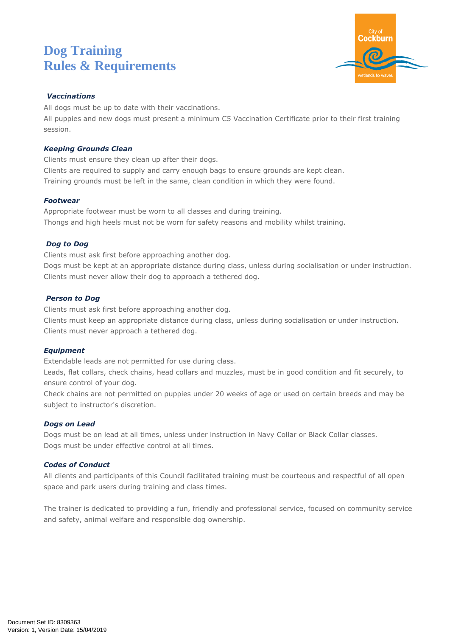# **Dog Training Rules & Requirements**



#### *Vaccinations*

All dogs must be up to date with their vaccinations.

All puppies and new dogs must present a minimum C5 Vaccination Certificate prior to their first training session.

#### *Keeping Grounds Clean*

Clients must ensure they clean up after their dogs.

Clients are required to supply and carry enough bags to ensure grounds are kept clean. Training grounds must be left in the same, clean condition in which they were found.

# *Footwear*

Appropriate footwear must be worn to all classes and during training. Thongs and high heels must not be worn for safety reasons and mobility whilst training.

# *Dog to Dog*

Clients must ask first before approaching another dog.

Dogs must be kept at an appropriate distance during class, unless during socialisation or under instruction. Clients must never allow their dog to approach a tethered dog.

# *Person to Dog*

Clients must ask first before approaching another dog. Clients must keep an appropriate distance during class, unless during socialisation or under instruction. Clients must never approach a tethered dog.

#### *Equipment*

Extendable leads are not permitted for use during class.

Leads, flat collars, check chains, head collars and muzzles, must be in good condition and fit securely, to ensure control of your dog.

Check chains are not permitted on puppies under 20 weeks of age or used on certain breeds and may be subject to instructor's discretion.

#### *Dogs on Lead*

Dogs must be on lead at all times, unless under instruction in Navy Collar or Black Collar classes. Dogs must be under effective control at all times.

#### *Codes of Conduct*

All clients and participants of this Council facilitated training must be courteous and respectful of all open space and park users during training and class times.

The trainer is dedicated to providing a fun, friendly and professional service, focused on community service and safety, animal welfare and responsible dog ownership.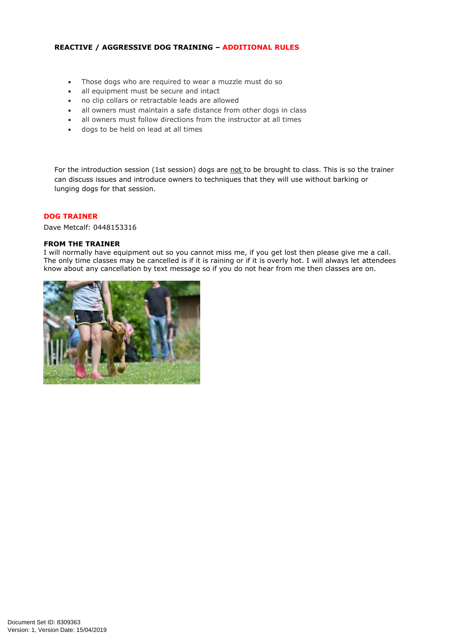#### **REACTIVE / AGGRESSIVE DOG TRAINING – ADDITIONAL RULES**

- Those dogs who are required to wear a muzzle must do so
- all equipment must be secure and intact
- no clip collars or retractable leads are allowed
- all owners must maintain a safe distance from other dogs in class
- all owners must follow directions from the instructor at all times
- dogs to be held on lead at all times

For the introduction session (1st session) dogs are not to be brought to class. This is so the trainer can discuss issues and introduce owners to techniques that they will use without barking or lunging dogs for that session.

#### **DOG TRAINER**

Dave Metcalf: 0448153316

#### **FROM THE TRAINER**

I will normally have equipment out so you cannot miss me, if you get lost then please give me a call. The only time classes may be cancelled is if it is raining or if it is overly hot. I will always let attendees know about any cancellation by text message so if you do not hear from me then classes are on.